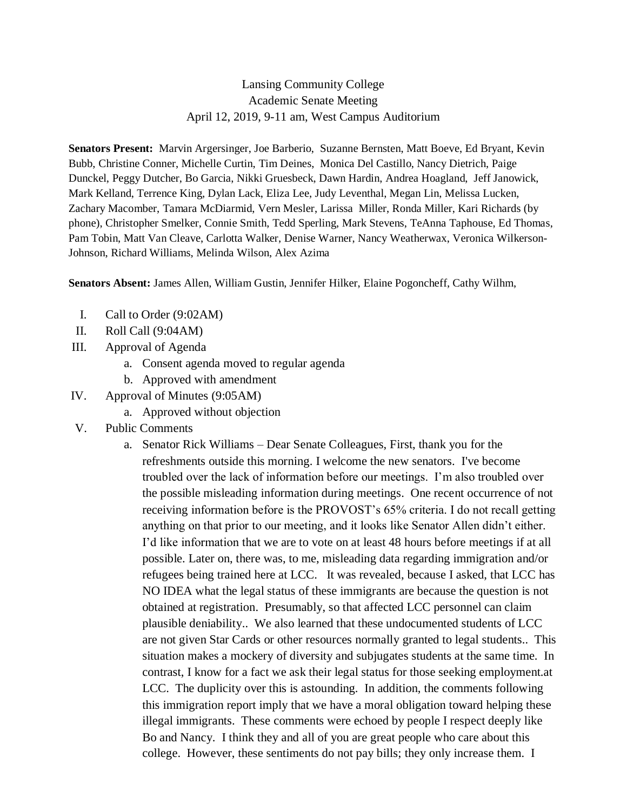## Lansing Community College Academic Senate Meeting April 12, 2019, 9-11 am, West Campus Auditorium

**Senators Present:** Marvin Argersinger, Joe Barberio, Suzanne Bernsten, Matt Boeve, Ed Bryant, Kevin Bubb, Christine Conner, Michelle Curtin, Tim Deines, Monica Del Castillo, Nancy Dietrich, Paige Dunckel, Peggy Dutcher, Bo Garcia, Nikki Gruesbeck, Dawn Hardin, Andrea Hoagland, Jeff Janowick, Mark Kelland, Terrence King, Dylan Lack, Eliza Lee, Judy Leventhal, Megan Lin, Melissa Lucken, Zachary Macomber, Tamara McDiarmid, Vern Mesler, Larissa Miller, Ronda Miller, Kari Richards (by phone), Christopher Smelker, Connie Smith, Tedd Sperling, Mark Stevens, TeAnna Taphouse, Ed Thomas, Pam Tobin, Matt Van Cleave, Carlotta Walker, Denise Warner, Nancy Weatherwax, Veronica Wilkerson-Johnson, Richard Williams, Melinda Wilson, Alex Azima

**Senators Absent:** James Allen, William Gustin, Jennifer Hilker, Elaine Pogoncheff, Cathy Wilhm,

- I. Call to Order (9:02AM)
- II. Roll Call (9:04AM)
- III. Approval of Agenda
	- a. Consent agenda moved to regular agenda
	- b. Approved with amendment
- IV. Approval of Minutes (9:05AM)
	- a. Approved without objection
- V. Public Comments
	- a. Senator Rick Williams Dear Senate Colleagues, First, thank you for the refreshments outside this morning. I welcome the new senators. I've become troubled over the lack of information before our meetings. I'm also troubled over the possible misleading information during meetings. One recent occurrence of not receiving information before is the PROVOST's 65% criteria. I do not recall getting anything on that prior to our meeting, and it looks like Senator Allen didn't either. I'd like information that we are to vote on at least 48 hours before meetings if at all possible. Later on, there was, to me, misleading data regarding immigration and/or refugees being trained here at LCC. It was revealed, because I asked, that LCC has NO IDEA what the legal status of these immigrants are because the question is not obtained at registration. Presumably, so that affected LCC personnel can claim plausible deniability.. We also learned that these undocumented students of LCC are not given Star Cards or other resources normally granted to legal students.. This situation makes a mockery of diversity and subjugates students at the same time. In contrast, I know for a fact we ask their legal status for those seeking employment.at LCC. The duplicity over this is astounding. In addition, the comments following this immigration report imply that we have a moral obligation toward helping these illegal immigrants. These comments were echoed by people I respect deeply like Bo and Nancy. I think they and all of you are great people who care about this college. However, these sentiments do not pay bills; they only increase them. I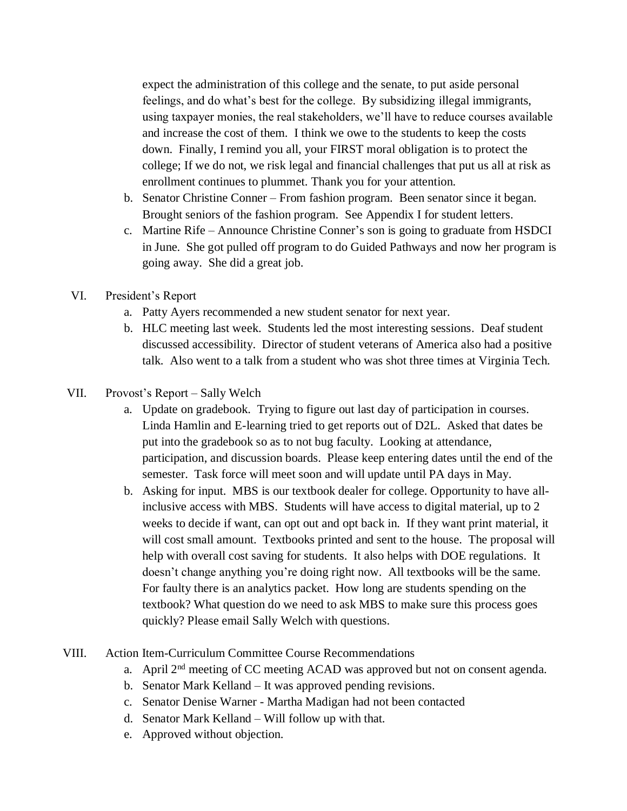expect the administration of this college and the senate, to put aside personal feelings, and do what's best for the college. By subsidizing illegal immigrants, using taxpayer monies, the real stakeholders, we'll have to reduce courses available and increase the cost of them. I think we owe to the students to keep the costs down. Finally, I remind you all, your FIRST moral obligation is to protect the college; If we do not, we risk legal and financial challenges that put us all at risk as enrollment continues to plummet. Thank you for your attention.

- b. Senator Christine Conner From fashion program. Been senator since it began. Brought seniors of the fashion program. See Appendix I for student letters.
- c. Martine Rife Announce Christine Conner's son is going to graduate from HSDCI in June. She got pulled off program to do Guided Pathways and now her program is going away. She did a great job.
- VI. President's Report
	- a. Patty Ayers recommended a new student senator for next year.
	- b. HLC meeting last week. Students led the most interesting sessions. Deaf student discussed accessibility. Director of student veterans of America also had a positive talk. Also went to a talk from a student who was shot three times at Virginia Tech.
- VII. Provost's Report Sally Welch
	- a. Update on gradebook. Trying to figure out last day of participation in courses. Linda Hamlin and E-learning tried to get reports out of D2L. Asked that dates be put into the gradebook so as to not bug faculty. Looking at attendance, participation, and discussion boards. Please keep entering dates until the end of the semester. Task force will meet soon and will update until PA days in May.
	- b. Asking for input. MBS is our textbook dealer for college. Opportunity to have allinclusive access with MBS. Students will have access to digital material, up to 2 weeks to decide if want, can opt out and opt back in. If they want print material, it will cost small amount. Textbooks printed and sent to the house. The proposal will help with overall cost saving for students. It also helps with DOE regulations. It doesn't change anything you're doing right now. All textbooks will be the same. For faulty there is an analytics packet. How long are students spending on the textbook? What question do we need to ask MBS to make sure this process goes quickly? Please email Sally Welch with questions.
- VIII. Action Item-Curriculum Committee Course Recommendations
	- a. April 2nd meeting of CC meeting ACAD was approved but not on consent agenda.
	- b. Senator Mark Kelland It was approved pending revisions.
	- c. Senator Denise Warner Martha Madigan had not been contacted
	- d. Senator Mark Kelland Will follow up with that.
	- e. Approved without objection.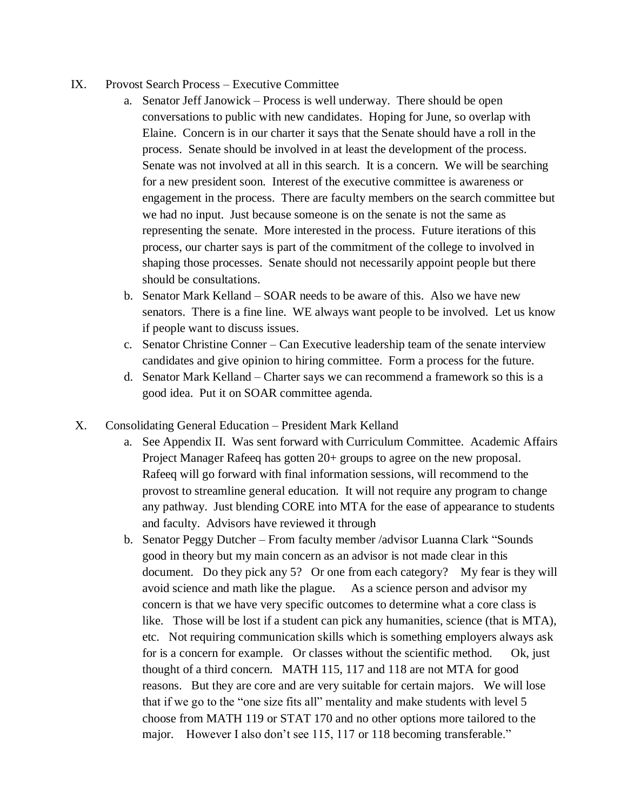- IX. Provost Search Process Executive Committee
	- a. Senator Jeff Janowick Process is well underway. There should be open conversations to public with new candidates. Hoping for June, so overlap with Elaine. Concern is in our charter it says that the Senate should have a roll in the process. Senate should be involved in at least the development of the process. Senate was not involved at all in this search. It is a concern. We will be searching for a new president soon. Interest of the executive committee is awareness or engagement in the process. There are faculty members on the search committee but we had no input. Just because someone is on the senate is not the same as representing the senate. More interested in the process. Future iterations of this process, our charter says is part of the commitment of the college to involved in shaping those processes. Senate should not necessarily appoint people but there should be consultations.
	- b. Senator Mark Kelland SOAR needs to be aware of this. Also we have new senators. There is a fine line. WE always want people to be involved. Let us know if people want to discuss issues.
	- c. Senator Christine Conner Can Executive leadership team of the senate interview candidates and give opinion to hiring committee. Form a process for the future.
	- d. Senator Mark Kelland Charter says we can recommend a framework so this is a good idea. Put it on SOAR committee agenda.
- X. Consolidating General Education President Mark Kelland
	- a. See Appendix II. Was sent forward with Curriculum Committee. Academic Affairs Project Manager Rafeeq has gotten 20+ groups to agree on the new proposal. Rafeeq will go forward with final information sessions, will recommend to the provost to streamline general education. It will not require any program to change any pathway. Just blending CORE into MTA for the ease of appearance to students and faculty. Advisors have reviewed it through
	- b. Senator Peggy Dutcher From faculty member /advisor Luanna Clark "Sounds good in theory but my main concern as an advisor is not made clear in this document. Do they pick any 5? Or one from each category? My fear is they will avoid science and math like the plague. As a science person and advisor my concern is that we have very specific outcomes to determine what a core class is like. Those will be lost if a student can pick any humanities, science (that is MTA), etc. Not requiring communication skills which is something employers always ask for is a concern for example. Or classes without the scientific method. Ok, just thought of a third concern. MATH 115, 117 and 118 are not MTA for good reasons. But they are core and are very suitable for certain majors. We will lose that if we go to the "one size fits all" mentality and make students with level 5 choose from MATH 119 or STAT 170 and no other options more tailored to the major. However I also don't see 115, 117 or 118 becoming transferable."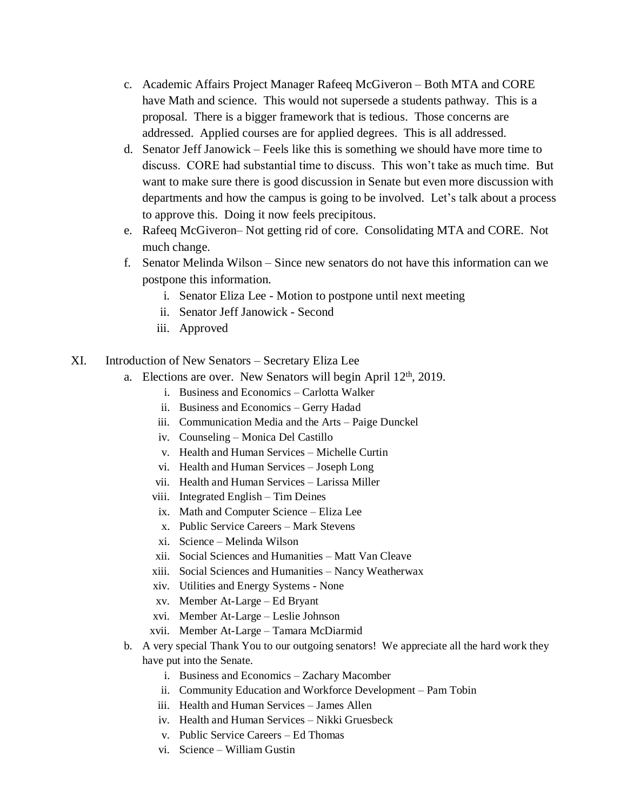- c. Academic Affairs Project Manager Rafeeq McGiveron Both MTA and CORE have Math and science. This would not supersede a students pathway. This is a proposal. There is a bigger framework that is tedious. Those concerns are addressed. Applied courses are for applied degrees. This is all addressed.
- d. Senator Jeff Janowick Feels like this is something we should have more time to discuss. CORE had substantial time to discuss. This won't take as much time. But want to make sure there is good discussion in Senate but even more discussion with departments and how the campus is going to be involved. Let's talk about a process to approve this. Doing it now feels precipitous.
- e. Rafeeq McGiveron– Not getting rid of core. Consolidating MTA and CORE. Not much change.
- f. Senator Melinda Wilson Since new senators do not have this information can we postpone this information.
	- i. Senator Eliza Lee Motion to postpone until next meeting
	- ii. Senator Jeff Janowick Second
	- iii. Approved
- XI. Introduction of New Senators Secretary Eliza Lee
	- a. Elections are over. New Senators will begin April 12<sup>th</sup>, 2019.
		- i. Business and Economics Carlotta Walker
		- ii. Business and Economics Gerry Hadad
		- iii. Communication Media and the Arts Paige Dunckel
		- iv. Counseling Monica Del Castillo
		- v. Health and Human Services Michelle Curtin
		- vi. Health and Human Services Joseph Long
		- vii. Health and Human Services Larissa Miller
		- viii. Integrated English Tim Deines
		- ix. Math and Computer Science Eliza Lee
		- x. Public Service Careers Mark Stevens
		- xi. Science Melinda Wilson
		- xii. Social Sciences and Humanities Matt Van Cleave
		- xiii. Social Sciences and Humanities Nancy Weatherwax
		- xiv. Utilities and Energy Systems None
		- xv. Member At-Large Ed Bryant
		- xvi. Member At-Large Leslie Johnson
		- xvii. Member At-Large Tamara McDiarmid
	- b. A very special Thank You to our outgoing senators! We appreciate all the hard work they have put into the Senate.
		- i. Business and Economics Zachary Macomber
		- ii. Community Education and Workforce Development Pam Tobin
		- iii. Health and Human Services James Allen
		- iv. Health and Human Services Nikki Gruesbeck
		- v. Public Service Careers Ed Thomas
		- vi. Science William Gustin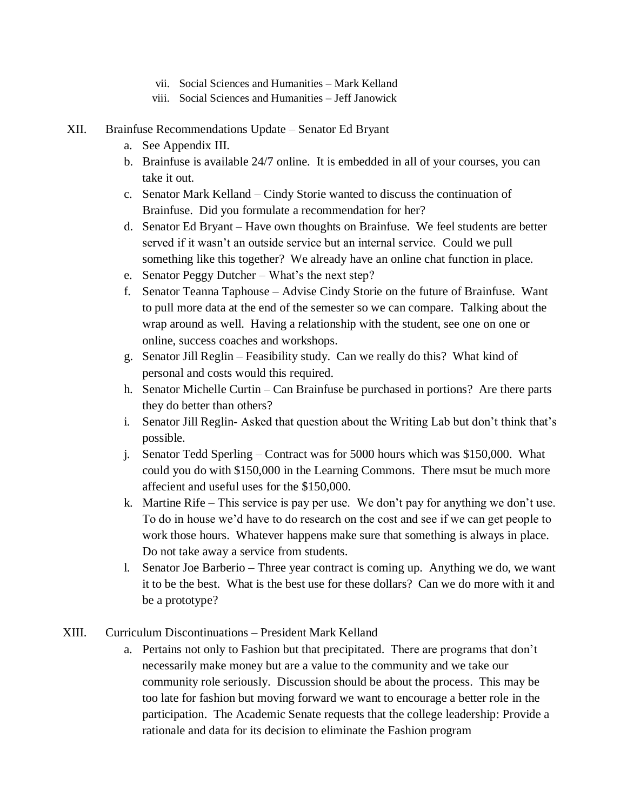- vii. Social Sciences and Humanities Mark Kelland
- viii. Social Sciences and Humanities Jeff Janowick
- XII. Brainfuse Recommendations Update Senator Ed Bryant
	- a. See Appendix III.
	- b. Brainfuse is available 24/7 online. It is embedded in all of your courses, you can take it out.
	- c. Senator Mark Kelland Cindy Storie wanted to discuss the continuation of Brainfuse. Did you formulate a recommendation for her?
	- d. Senator Ed Bryant Have own thoughts on Brainfuse. We feel students are better served if it wasn't an outside service but an internal service. Could we pull something like this together? We already have an online chat function in place.
	- e. Senator Peggy Dutcher What's the next step?
	- f. Senator Teanna Taphouse Advise Cindy Storie on the future of Brainfuse. Want to pull more data at the end of the semester so we can compare. Talking about the wrap around as well. Having a relationship with the student, see one on one or online, success coaches and workshops.
	- g. Senator Jill Reglin Feasibility study. Can we really do this? What kind of personal and costs would this required.
	- h. Senator Michelle Curtin Can Brainfuse be purchased in portions? Are there parts they do better than others?
	- i. Senator Jill Reglin- Asked that question about the Writing Lab but don't think that's possible.
	- j. Senator Tedd Sperling Contract was for 5000 hours which was \$150,000. What could you do with \$150,000 in the Learning Commons. There msut be much more affecient and useful uses for the \$150,000.
	- k. Martine Rife This service is pay per use. We don't pay for anything we don't use. To do in house we'd have to do research on the cost and see if we can get people to work those hours. Whatever happens make sure that something is always in place. Do not take away a service from students.
	- l. Senator Joe Barberio Three year contract is coming up. Anything we do, we want it to be the best. What is the best use for these dollars? Can we do more with it and be a prototype?
- XIII. Curriculum Discontinuations President Mark Kelland
	- a. Pertains not only to Fashion but that precipitated. There are programs that don't necessarily make money but are a value to the community and we take our community role seriously. Discussion should be about the process. This may be too late for fashion but moving forward we want to encourage a better role in the participation. The Academic Senate requests that the college leadership: Provide a rationale and data for its decision to eliminate the Fashion program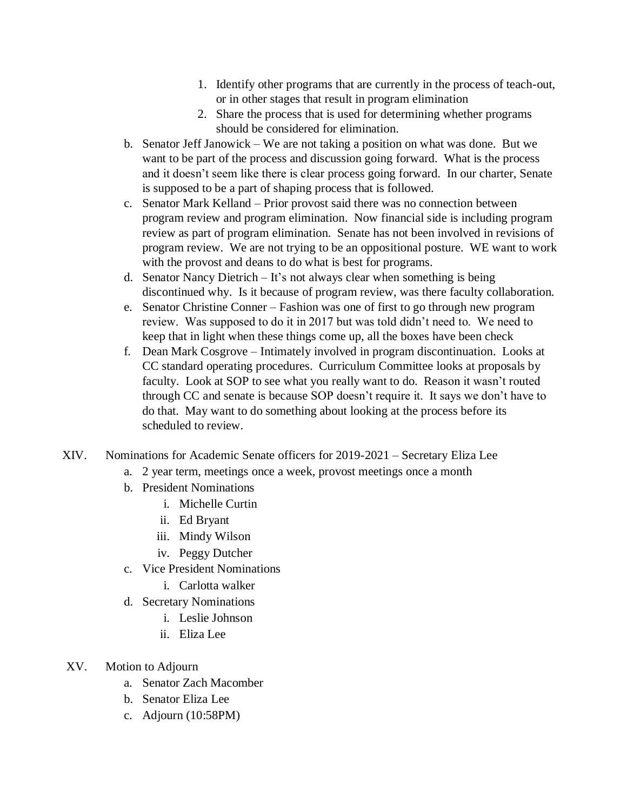- 1. Identify other programs that are currently in the process of teach-out, or in other stages that result in program elimination
- 2. Share the process that is used for determining whether programs should be considered for elimination.
- b. Senator Jeff Janowick We are not taking a position on what was done. But we want to be part of the process and discussion going forward. What is the process and it doesn't seem like there is clear process going forward. In our charter, Senate is supposed to be a part of shaping process that is followed.
- c. Senator Mark Kelland Prior provost said there was no connection between program review and program elimination. Now financial side is including program review as part of program elimination. Senate has not been involved in revisions of program review. We are not trying to be an oppositional posture. WE want to work with the provost and deans to do what is best for programs.
- d. Senator Nancy Dietrich It's not always clear when something is being discontinued why. Is it because of program review, was there faculty collaboration.
- e. Senator Christine Conner Fashion was one of first to go through new program review. Was supposed to do it in 2017 but was told didn't need to. We need to keep that in light when these things come up, all the boxes have been check
- f. Dean Mark Cosgrove Intimately involved in program discontinuation. Looks at CC standard operating procedures. Curriculum Committee looks at proposals by faculty. Look at SOP to see what you really want to do. Reason it wasn't routed through CC and senate is because SOP doesn't require it. It says we don't have to do that. May want to do something about looking at the process before its scheduled to review.
- XIV. Nominations for Academic Senate officers for 2019-2021 Secretary Eliza Lee
	- a. 2 year term, meetings once a week, provost meetings once a month
	- b. President Nominations
		- i. Michelle Curtin
		- ii. Ed Bryant
		- iii. Mindy Wilson
		- iv. Peggy Dutcher
	- c. Vice President Nominations
		- i. Carlotta walker
	- d. Secretary Nominations
		- i. Leslie Johnson
		- ii. Eliza Lee
- XV. Motion to Adjourn
	- a. Senator Zach Macomber
	- b. Senator Eliza Lee
	- c. Adjourn (10:58PM)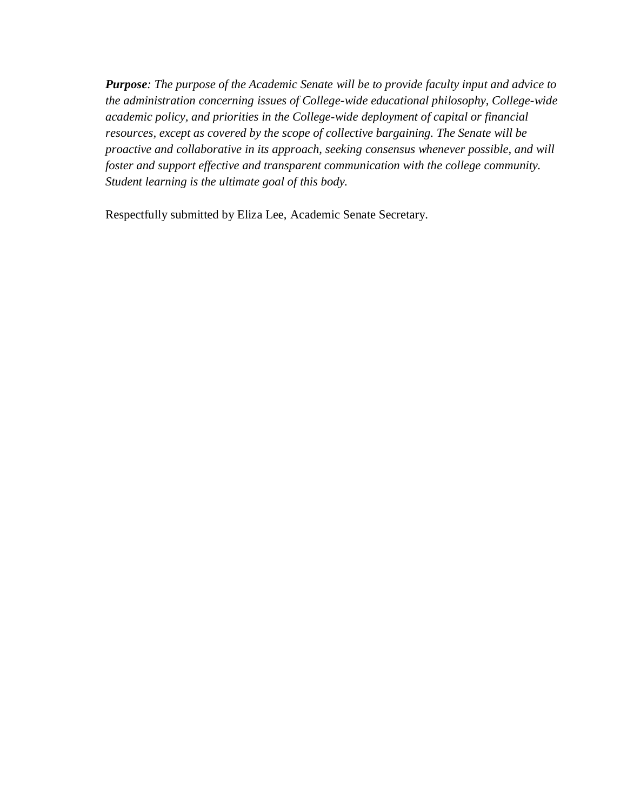*Purpose: The purpose of the Academic Senate will be to provide faculty input and advice to the administration concerning issues of College-wide educational philosophy, College-wide academic policy, and priorities in the College-wide deployment of capital or financial resources, except as covered by the scope of collective bargaining. The Senate will be proactive and collaborative in its approach, seeking consensus whenever possible, and will foster and support effective and transparent communication with the college community. Student learning is the ultimate goal of this body.*

Respectfully submitted by Eliza Lee, Academic Senate Secretary.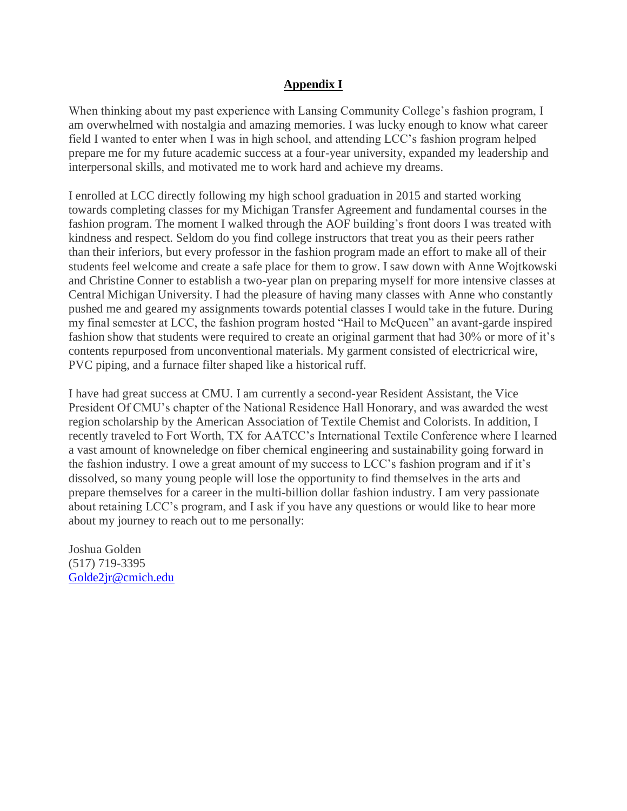## **Appendix I**

When thinking about my past experience with Lansing Community College's fashion program, I am overwhelmed with nostalgia and amazing memories. I was lucky enough to know what career field I wanted to enter when I was in high school, and attending LCC's fashion program helped prepare me for my future academic success at a four-year university, expanded my leadership and interpersonal skills, and motivated me to work hard and achieve my dreams.

I enrolled at LCC directly following my high school graduation in 2015 and started working towards completing classes for my Michigan Transfer Agreement and fundamental courses in the fashion program. The moment I walked through the AOF building's front doors I was treated with kindness and respect. Seldom do you find college instructors that treat you as their peers rather than their inferiors, but every professor in the fashion program made an effort to make all of their students feel welcome and create a safe place for them to grow. I saw down with Anne Wojtkowski and Christine Conner to establish a two-year plan on preparing myself for more intensive classes at Central Michigan University. I had the pleasure of having many classes with Anne who constantly pushed me and geared my assignments towards potential classes I would take in the future. During my final semester at LCC, the fashion program hosted "Hail to McQueen" an avant-garde inspired fashion show that students were required to create an original garment that had 30% or more of it's contents repurposed from unconventional materials. My garment consisted of electricrical wire, PVC piping, and a furnace filter shaped like a historical ruff.

I have had great success at CMU. I am currently a second-year Resident Assistant, the Vice President Of CMU's chapter of the National Residence Hall Honorary, and was awarded the west region scholarship by the American Association of Textile Chemist and Colorists. In addition, I recently traveled to Fort Worth, TX for AATCC's International Textile Conference where I learned a vast amount of knowneledge on fiber chemical engineering and sustainability going forward in the fashion industry. I owe a great amount of my success to LCC's fashion program and if it's dissolved, so many young people will lose the opportunity to find themselves in the arts and prepare themselves for a career in the multi-billion dollar fashion industry. I am very passionate about retaining LCC's program, and I ask if you have any questions or would like to hear more about my journey to reach out to me personally:

Joshua Golden (517) 719-3395 [Golde2jr@cmich.edu](mailto:Golde2jr@cmich.edu)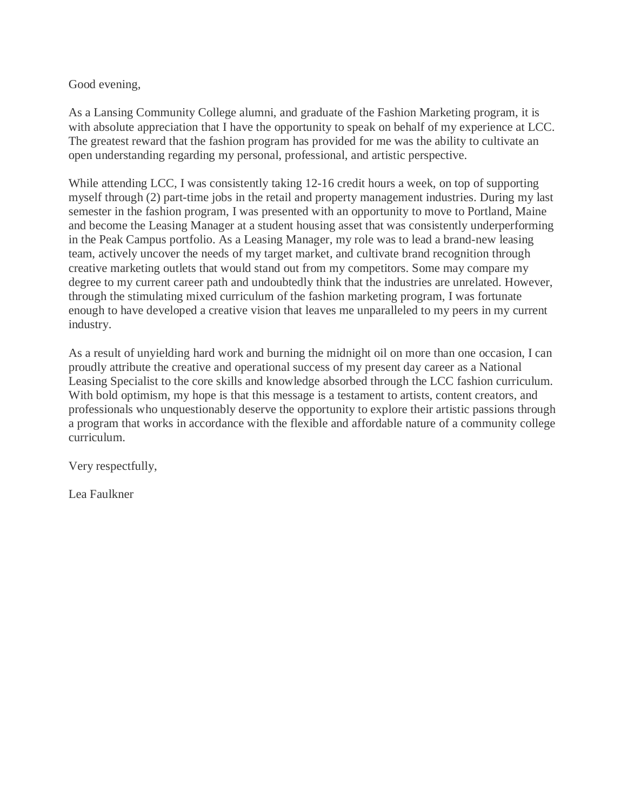### Good evening,

As a Lansing Community College alumni, and graduate of the Fashion Marketing program, it is with absolute appreciation that I have the opportunity to speak on behalf of my experience at LCC. The greatest reward that the fashion program has provided for me was the ability to cultivate an open understanding regarding my personal, professional, and artistic perspective.

While attending LCC, I was consistently taking 12-16 credit hours a week, on top of supporting myself through (2) part-time jobs in the retail and property management industries. During my last semester in the fashion program, I was presented with an opportunity to move to Portland, Maine and become the Leasing Manager at a student housing asset that was consistently underperforming in the Peak Campus portfolio. As a Leasing Manager, my role was to lead a brand-new leasing team, actively uncover the needs of my target market, and cultivate brand recognition through creative marketing outlets that would stand out from my competitors. Some may compare my degree to my current career path and undoubtedly think that the industries are unrelated. However, through the stimulating mixed curriculum of the fashion marketing program, I was fortunate enough to have developed a creative vision that leaves me unparalleled to my peers in my current industry.

As a result of unyielding hard work and burning the midnight oil on more than one occasion, I can proudly attribute the creative and operational success of my present day career as a National Leasing Specialist to the core skills and knowledge absorbed through the LCC fashion curriculum. With bold optimism, my hope is that this message is a testament to artists, content creators, and professionals who unquestionably deserve the opportunity to explore their artistic passions through a program that works in accordance with the flexible and affordable nature of a community college curriculum.

Very respectfully,

Lea Faulkner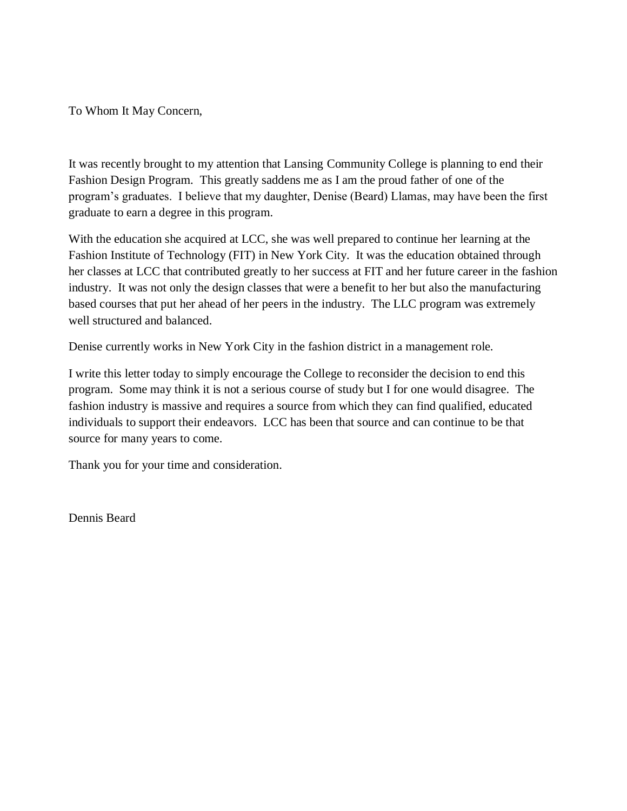To Whom It May Concern,

It was recently brought to my attention that Lansing Community College is planning to end their Fashion Design Program. This greatly saddens me as I am the proud father of one of the program's graduates. I believe that my daughter, Denise (Beard) Llamas, may have been the first graduate to earn a degree in this program.

With the education she acquired at LCC, she was well prepared to continue her learning at the Fashion Institute of Technology (FIT) in New York City. It was the education obtained through her classes at LCC that contributed greatly to her success at FIT and her future career in the fashion industry. It was not only the design classes that were a benefit to her but also the manufacturing based courses that put her ahead of her peers in the industry. The LLC program was extremely well structured and balanced.

Denise currently works in New York City in the fashion district in a management role.

I write this letter today to simply encourage the College to reconsider the decision to end this program. Some may think it is not a serious course of study but I for one would disagree. The fashion industry is massive and requires a source from which they can find qualified, educated individuals to support their endeavors. LCC has been that source and can continue to be that source for many years to come.

Thank you for your time and consideration.

Dennis Beard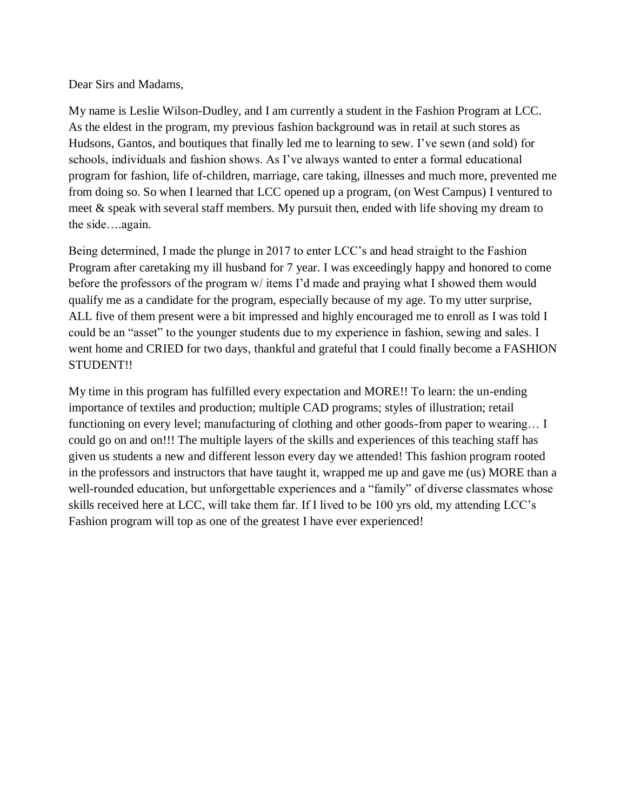Dear Sirs and Madams,

My name is Leslie Wilson-Dudley, and I am currently a student in the Fashion Program at LCC. As the eldest in the program, my previous fashion background was in retail at such stores as Hudsons, Gantos, and boutiques that finally led me to learning to sew. I've sewn (and sold) for schools, individuals and fashion shows. As I've always wanted to enter a formal educational program for fashion, life of-children, marriage, care taking, illnesses and much more, prevented me from doing so. So when I learned that LCC opened up a program, (on West Campus) I ventured to meet & speak with several staff members. My pursuit then, ended with life shoving my dream to the side….again.

Being determined, I made the plunge in 2017 to enter LCC's and head straight to the Fashion Program after caretaking my ill husband for 7 year. I was exceedingly happy and honored to come before the professors of the program w/ items I'd made and praying what I showed them would qualify me as a candidate for the program, especially because of my age. To my utter surprise, ALL five of them present were a bit impressed and highly encouraged me to enroll as I was told I could be an "asset" to the younger students due to my experience in fashion, sewing and sales. I went home and CRIED for two days, thankful and grateful that I could finally become a FASHION STUDENT!!

My time in this program has fulfilled every expectation and MORE!! To learn: the un-ending importance of textiles and production; multiple CAD programs; styles of illustration; retail functioning on every level; manufacturing of clothing and other goods-from paper to wearing… I could go on and on!!! The multiple layers of the skills and experiences of this teaching staff has given us students a new and different lesson every day we attended! This fashion program rooted in the professors and instructors that have taught it, wrapped me up and gave me (us) MORE than a well-rounded education, but unforgettable experiences and a "family" of diverse classmates whose skills received here at LCC, will take them far. If I lived to be 100 yrs old, my attending LCC's Fashion program will top as one of the greatest I have ever experienced!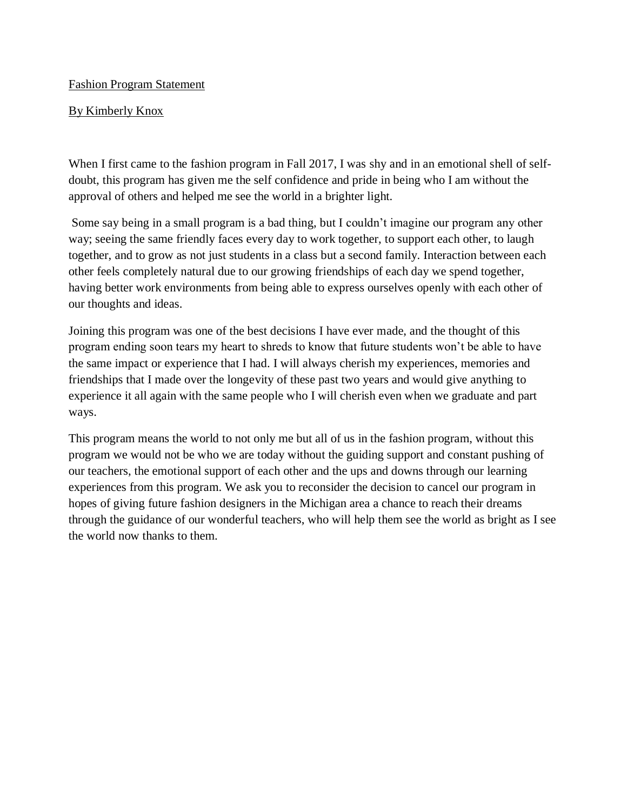### Fashion Program Statement

### By Kimberly Knox

When I first came to the fashion program in Fall 2017, I was shy and in an emotional shell of selfdoubt, this program has given me the self confidence and pride in being who I am without the approval of others and helped me see the world in a brighter light.

Some say being in a small program is a bad thing, but I couldn't imagine our program any other way; seeing the same friendly faces every day to work together, to support each other, to laugh together, and to grow as not just students in a class but a second family. Interaction between each other feels completely natural due to our growing friendships of each day we spend together, having better work environments from being able to express ourselves openly with each other of our thoughts and ideas.

Joining this program was one of the best decisions I have ever made, and the thought of this program ending soon tears my heart to shreds to know that future students won't be able to have the same impact or experience that I had. I will always cherish my experiences, memories and friendships that I made over the longevity of these past two years and would give anything to experience it all again with the same people who I will cherish even when we graduate and part ways.

This program means the world to not only me but all of us in the fashion program, without this program we would not be who we are today without the guiding support and constant pushing of our teachers, the emotional support of each other and the ups and downs through our learning experiences from this program. We ask you to reconsider the decision to cancel our program in hopes of giving future fashion designers in the Michigan area a chance to reach their dreams through the guidance of our wonderful teachers, who will help them see the world as bright as I see the world now thanks to them.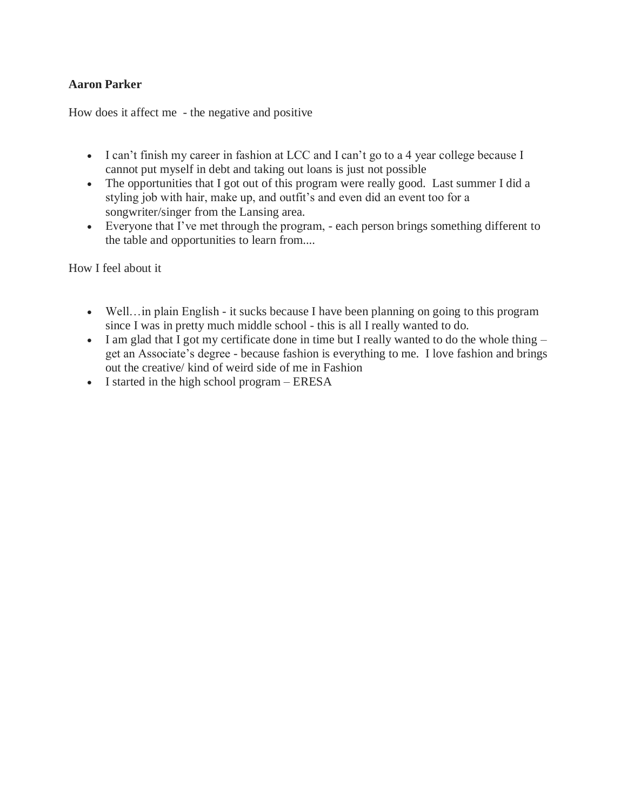### **Aaron Parker**

How does it affect me - the negative and positive

- I can't finish my career in fashion at LCC and I can't go to a 4 year college because I cannot put myself in debt and taking out loans is just not possible
- The opportunities that I got out of this program were really good. Last summer I did a styling job with hair, make up, and outfit's and even did an event too for a songwriter/singer from the Lansing area.
- Everyone that I've met through the program, each person brings something different to the table and opportunities to learn from....

How I feel about it

- Well... in plain English it sucks because I have been planning on going to this program since I was in pretty much middle school - this is all I really wanted to do.
- I am glad that I got my certificate done in time but I really wanted to do the whole thing get an Associate's degree - because fashion is everything to me. I love fashion and brings out the creative/ kind of weird side of me in Fashion
- I started in the high school program ERESA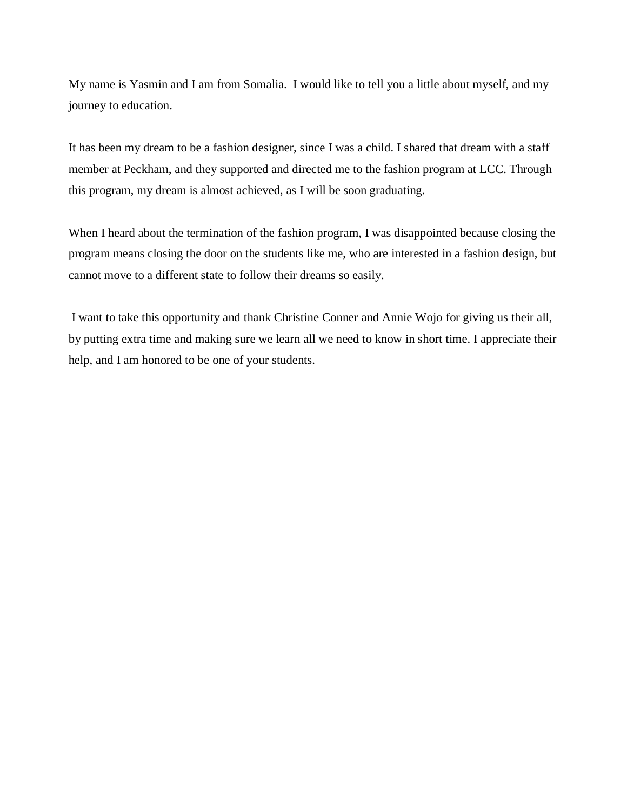My name is Yasmin and I am from Somalia. I would like to tell you a little about myself, and my journey to education.

It has been my dream to be a fashion designer, since I was a child. I shared that dream with a staff member at Peckham, and they supported and directed me to the fashion program at LCC. Through this program, my dream is almost achieved, as I will be soon graduating.

When I heard about the termination of the fashion program, I was disappointed because closing the program means closing the door on the students like me, who are interested in a fashion design, but cannot move to a different state to follow their dreams so easily.

I want to take this opportunity and thank Christine Conner and Annie Wojo for giving us their all, by putting extra time and making sure we learn all we need to know in short time. I appreciate their help, and I am honored to be one of your students.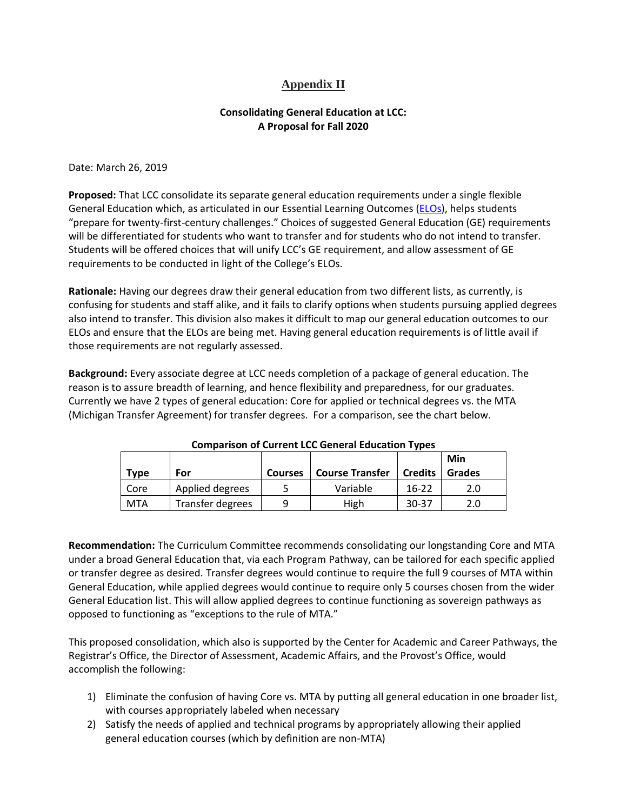### **Appendix II**

### **Consolidating General Education at LCC: A Proposal for Fall 2020**

Date: March 26, 2019

**Proposed:** That LCC consolidate its separate general education requirements under a single flexible General Education which, as articulated in our Essential Learning Outcomes [\(ELOs\)](https://internal.lcc.edu/provost/documents/EssentialOutcomes_Chart.pdf), helps students "prepare for twenty-first-century challenges." Choices of suggested General Education (GE) requirements will be differentiated for students who want to transfer and for students who do not intend to transfer. Students will be offered choices that will unify LCC's GE requirement, and allow assessment of GE requirements to be conducted in light of the College's ELOs.

**Rationale:** Having our degrees draw their general education from two different lists, as currently, is confusing for students and staff alike, and it fails to clarify options when students pursuing applied degrees also intend to transfer. This division also makes it difficult to map our general education outcomes to our ELOs and ensure that the ELOs are being met. Having general education requirements is of little avail if those requirements are not regularly assessed.

**Background:** Every associate degree at LCC needs completion of a package of general education. The reason is to assure breadth of learning, and hence flexibility and preparedness, for our graduates. Currently we have 2 types of general education: Core for applied or technical degrees vs. the MTA (Michigan Transfer Agreement) for transfer degrees. For a comparison, see the chart below.

|             |                  |                |                        |                | Min    |
|-------------|------------------|----------------|------------------------|----------------|--------|
| <b>Type</b> | For              | <b>Courses</b> | <b>Course Transfer</b> | <b>Credits</b> | Grades |
| Core        | Applied degrees  | 5              | Variable               | $16-22$        | 2.0    |
| MTA         | Transfer degrees | q              | High                   | $30 - 37$      | 2.0    |

### **Comparison of Current LCC General Education Types**

**Recommendation:** The Curriculum Committee recommends consolidating our longstanding Core and MTA under a broad General Education that, via each Program Pathway, can be tailored for each specific applied or transfer degree as desired. Transfer degrees would continue to require the full 9 courses of MTA within General Education, while applied degrees would continue to require only 5 courses chosen from the wider General Education list. This will allow applied degrees to continue functioning as sovereign pathways as opposed to functioning as "exceptions to the rule of MTA."

This proposed consolidation, which also is supported by the Center for Academic and Career Pathways, the Registrar's Office, the Director of Assessment, Academic Affairs, and the Provost's Office, would accomplish the following:

- 1) Eliminate the confusion of having Core vs. MTA by putting all general education in one broader list, with courses appropriately labeled when necessary
- 2) Satisfy the needs of applied and technical programs by appropriately allowing their applied general education courses (which by definition are non-MTA)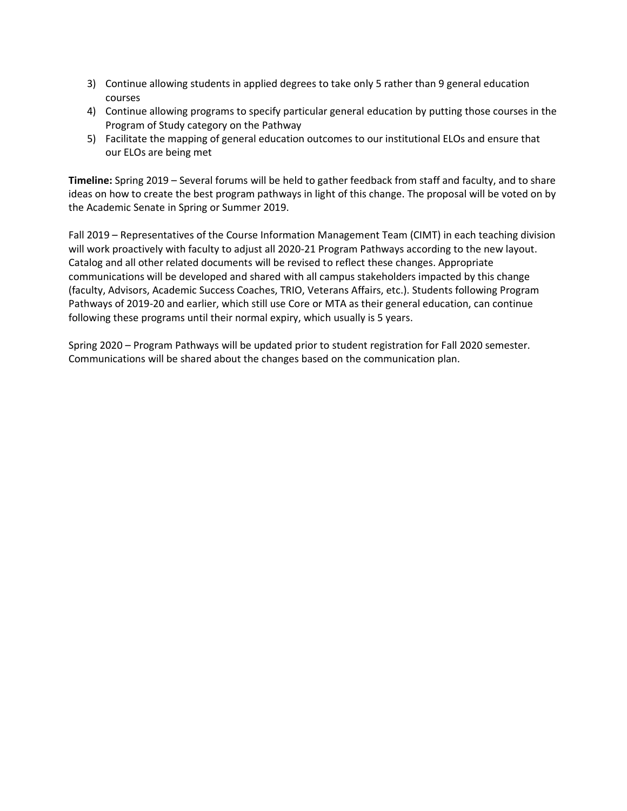- 3) Continue allowing students in applied degrees to take only 5 rather than 9 general education courses
- 4) Continue allowing programs to specify particular general education by putting those courses in the Program of Study category on the Pathway
- 5) Facilitate the mapping of general education outcomes to our institutional ELOs and ensure that our ELOs are being met

**Timeline:** Spring 2019 – Several forums will be held to gather feedback from staff and faculty, and to share ideas on how to create the best program pathways in light of this change. The proposal will be voted on by the Academic Senate in Spring or Summer 2019.

Fall 2019 – Representatives of the Course Information Management Team (CIMT) in each teaching division will work proactively with faculty to adjust all 2020-21 Program Pathways according to the new layout. Catalog and all other related documents will be revised to reflect these changes. Appropriate communications will be developed and shared with all campus stakeholders impacted by this change (faculty, Advisors, Academic Success Coaches, TRIO, Veterans Affairs, etc.). Students following Program Pathways of 2019-20 and earlier, which still use Core or MTA as their general education, can continue following these programs until their normal expiry, which usually is 5 years.

Spring 2020 – Program Pathways will be updated prior to student registration for Fall 2020 semester. Communications will be shared about the changes based on the communication plan.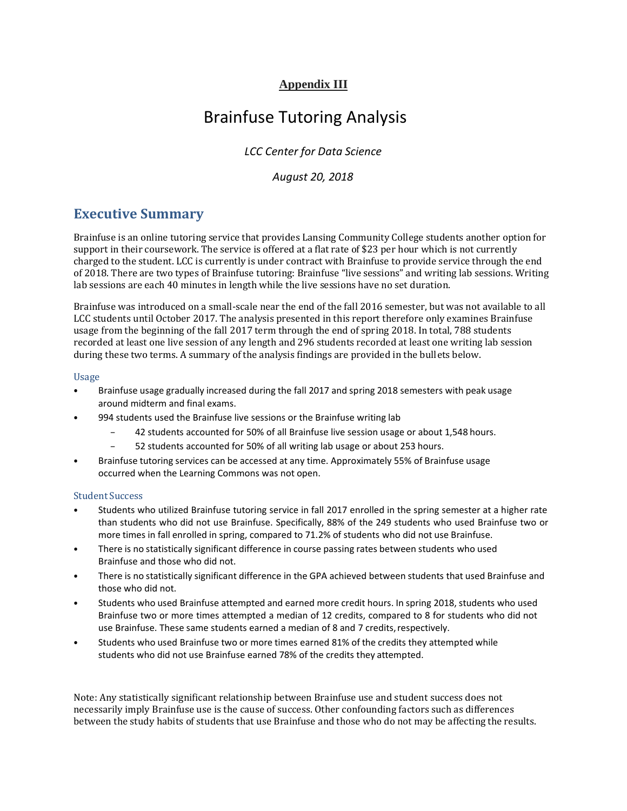## **Appendix III**

# Brainfuse Tutoring Analysis

*LCC Center for Data Science* 

### *August 20, 2018*

## **Executive Summary**

Brainfuse is an online tutoring service that provides Lansing Community College students another option for support in their coursework. The service is offered at a flat rate of \$23 per hour which is not currently charged to the student. LCC is currently is under contract with Brainfuse to provide service through the end of 2018. There are two types of Brainfuse tutoring: Brainfuse "live sessions" and writing lab sessions. Writing lab sessions are each 40 minutes in length while the live sessions have no set duration.

Brainfuse was introduced on a small-scale near the end of the fall 2016 semester, but was not available to all LCC students until October 2017. The analysis presented in this report therefore only examines Brainfuse usage from the beginning of the fall 2017 term through the end of spring 2018. In total, 788 students recorded at least one live session of any length and 296 students recorded at least one writing lab session during these two terms. A summary of the analysis findings are provided in the bullets below.

#### Usage

- Brainfuse usage gradually increased during the fall 2017 and spring 2018 semesters with peak usage around midterm and final exams.
- 994 students used the Brainfuse live sessions or the Brainfuse writing lab
	- 42 students accounted for 50% of all Brainfuse live session usage or about 1,548 hours.
	- 52 students accounted for 50% of all writing lab usage or about 253 hours.
- Brainfuse tutoring services can be accessed at any time. Approximately 55% of Brainfuse usage occurred when the Learning Commons was not open.

#### Student Success

- Students who utilized Brainfuse tutoring service in fall 2017 enrolled in the spring semester at a higher rate than students who did not use Brainfuse. Specifically, 88% of the 249 students who used Brainfuse two or more times in fall enrolled in spring, compared to 71.2% of students who did not use Brainfuse.
- There is no statistically significant difference in course passing rates between students who used Brainfuse and those who did not.
- There is no statistically significant difference in the GPA achieved between students that used Brainfuse and those who did not.
- Students who used Brainfuse attempted and earned more credit hours. In spring 2018, students who used Brainfuse two or more times attempted a median of 12 credits, compared to 8 for students who did not use Brainfuse. These same students earned a median of 8 and 7 credits,respectively.
- Students who used Brainfuse two or more times earned 81% of the credits they attempted while students who did not use Brainfuse earned 78% of the credits they attempted.

Note: Any statistically significant relationship between Brainfuse use and student success does not necessarily imply Brainfuse use is the cause of success. Other confounding factors such as differences between the study habits of students that use Brainfuse and those who do not may be affecting the results.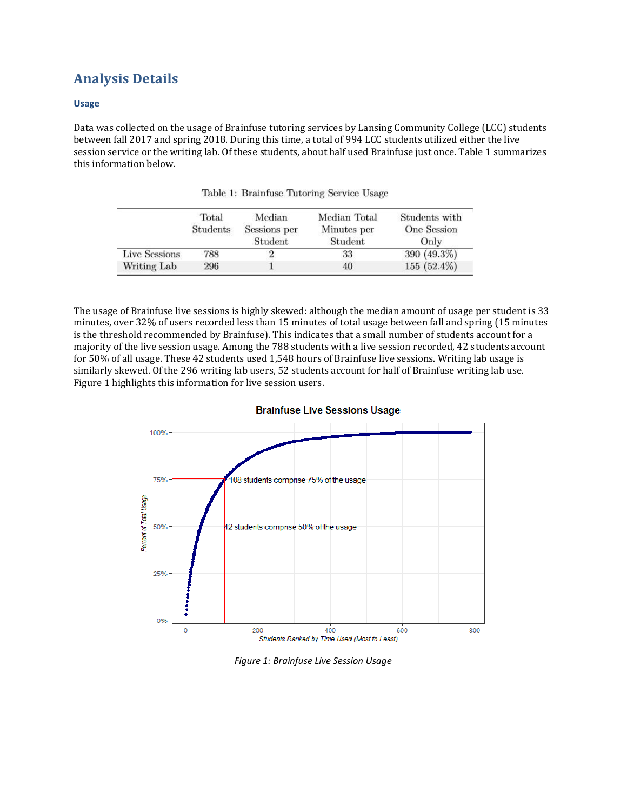## **Analysis Details**

#### **Usage**

Data was collected on the usage of Brainfuse tutoring services by Lansing Community College (LCC) students between fall 2017 and spring 2018. During this time, a total of 994 LCC students utilized either the live session service or the writing lab. Of these students, about half used Brainfuse just once. Table 1 summarizes this information below.

|               | Total<br>Students | Median<br>Sessions per<br>Student | Median Total<br>Minutes per<br>Student | Students with<br>One Session<br>Only |
|---------------|-------------------|-----------------------------------|----------------------------------------|--------------------------------------|
| Live Sessions | 788               |                                   | 33                                     | 390 (49.3%)                          |
| Writing Lab   | 296               |                                   | 40                                     | $155(52.4\%)$                        |

Table 1: Brainfuse Tutoring Service Usage

The usage of Brainfuse live sessions is highly skewed: although the median amount of usage per student is 33 minutes, over 32% of users recorded less than 15 minutes of total usage between fall and spring (15 minutes is the threshold recommended by Brainfuse). This indicates that a small number of students account for a majority of the live session usage. Among the 788 students with a live session recorded, 42 students account for 50% of all usage. These 42 students used 1,548 hours of Brainfuse live sessions. Writing lab usage is similarly skewed. Of the 296 writing lab users, 52 students account for half of Brainfuse writing lab use. Figure 1 highlights this information for live session users.



#### **Brainfuse Live Sessions Usage**

*Figure 1: Brainfuse Live Session Usage*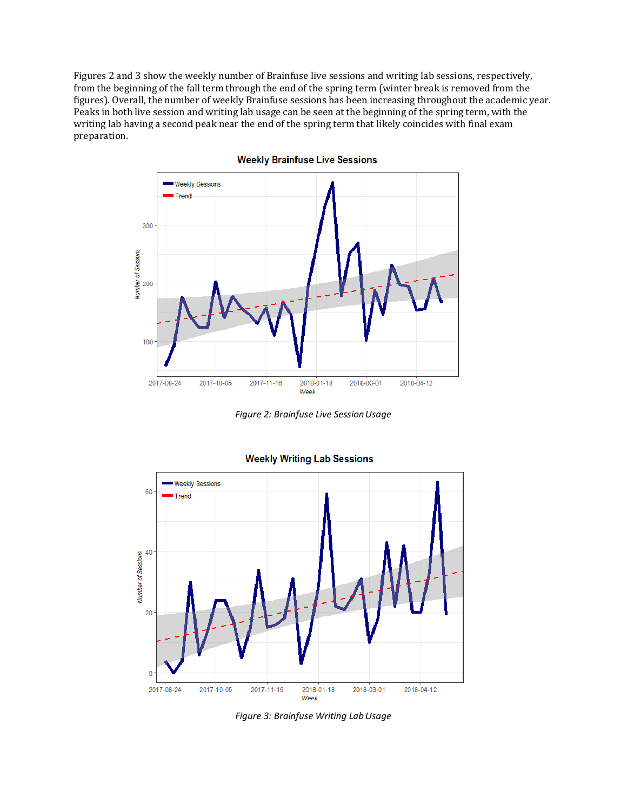Figures 2 and 3 show the weekly number of Brainfuse live sessions and writing lab sessions, respectively, from the beginning of the fall term through the end of the spring term (winter break is removed from the figures). Overall, the number of weekly Brainfuse sessions has been increasing throughout the academic year. Peaks in both live session and writing lab usage can be seen at the beginning of the spring term, with the writing lab having a second peak near the end of the spring term that likely coincides with final exam preparation.



**Weekly Brainfuse Live Sessions** 

*Figure 2: Brainfuse Live SessionUsage*



**Weekly Writing Lab Sessions** 

*Figure 3: Brainfuse Writing LabUsage*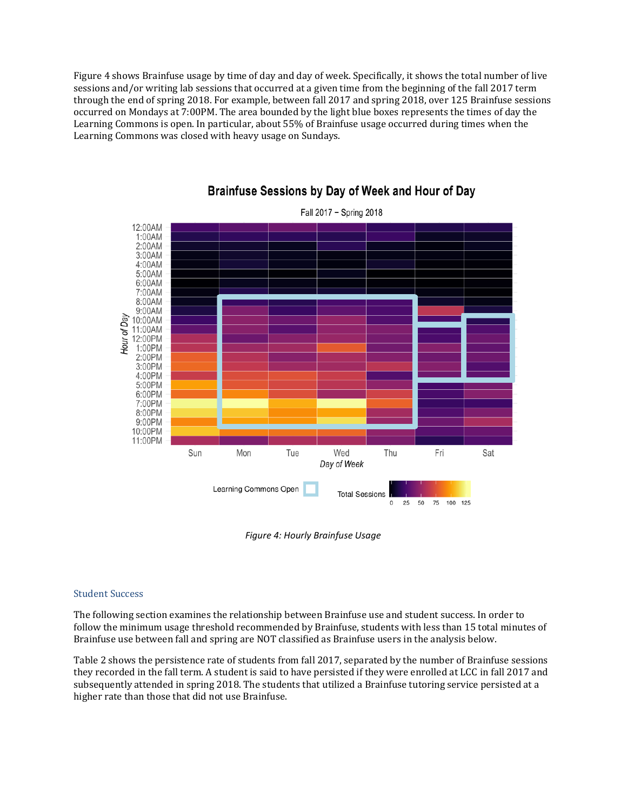Figure 4 shows Brainfuse usage by time of day and day of week. Specifically, it shows the total number of live sessions and/or writing lab sessions that occurred at a given time from the beginning of the fall 2017 term through the end of spring 2018. For example, between fall 2017 and spring 2018, over 125 Brainfuse sessions occurred on Mondays at 7:00PM. The area bounded by the light blue boxes represents the times of day the Learning Commons is open. In particular, about 55% of Brainfuse usage occurred during times when the Learning Commons was closed with heavy usage on Sundays.



## Brainfuse Sessions by Day of Week and Hour of Day

*Figure 4: Hourly Brainfuse Usage*

#### Student Success

The following section examines the relationship between Brainfuse use and student success. In order to follow the minimum usage threshold recommended by Brainfuse, students with less than 15 total minutes of Brainfuse use between fall and spring are NOT classified as Brainfuse users in the analysis below.

Table 2 shows the persistence rate of students from fall 2017, separated by the number of Brainfuse sessions they recorded in the fall term. A student is said to have persisted if they were enrolled at LCC in fall 2017 and subsequently attended in spring 2018. The students that utilized a Brainfuse tutoring service persisted at a higher rate than those that did not use Brainfuse.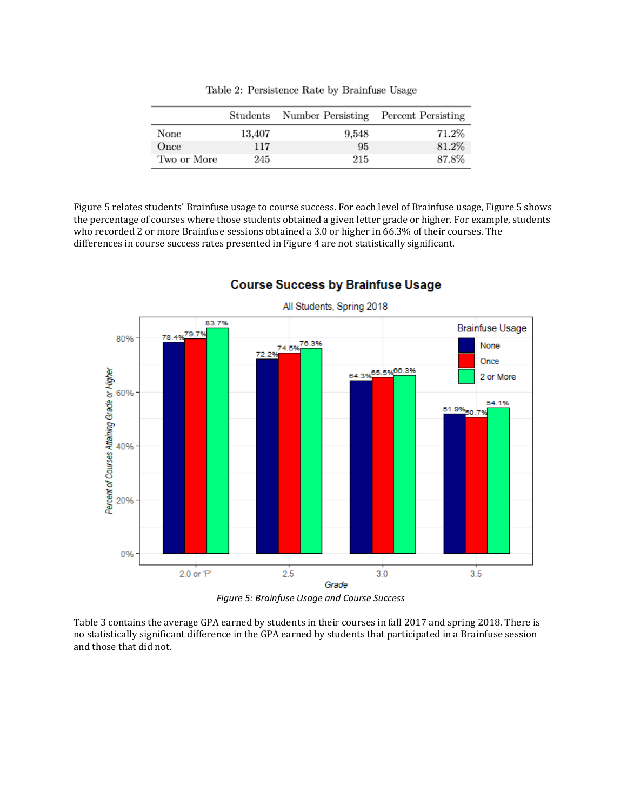|             | Students | Number Persisting Percent Persisting |       |
|-------------|----------|--------------------------------------|-------|
| None        | 13,407   | 9,548                                | 71.2% |
| Once        | 117      | 95                                   | 81.2% |
| Two or More | 245      | 215                                  | 87.8% |

Table 2: Persistence Rate by Brainfuse Usage

Figure 5 relates students' Brainfuse usage to course success. For each level of Brainfuse usage, Figure 5 shows the percentage of courses where those students obtained a given letter grade or higher. For example, students who recorded 2 or more Brainfuse sessions obtained a 3.0 or higher in 66.3% of their courses. The differences in course success rates presented in Figure 4 are not statistically significant.



### **Course Success by Brainfuse Usage**

*Figure 5: Brainfuse Usage and Course Success*

Table 3 contains the average GPA earned by students in their courses in fall 2017 and spring 2018. There is no statistically significant difference in the GPA earned by students that participated in a Brainfuse session and those that did not.